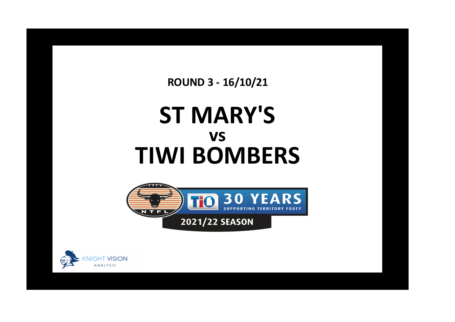**ROUND 3 - 16/10/21**

## **ST MARY'S TIWI BOMBERS vs**



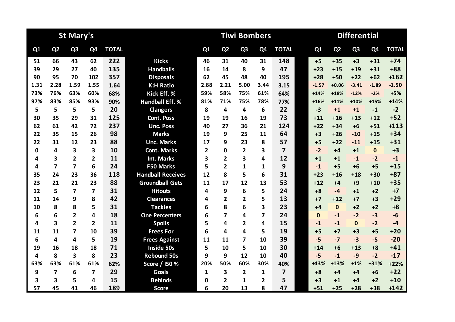|      |                         | <b>St Mary's</b>        |                |              |                          |                |                | <b>Tiwi Bombers</b>     |                         |                         |              |                | <b>Differential</b> |                |              |
|------|-------------------------|-------------------------|----------------|--------------|--------------------------|----------------|----------------|-------------------------|-------------------------|-------------------------|--------------|----------------|---------------------|----------------|--------------|
| Q1   | Q <sub>2</sub>          | Q <sub>3</sub>          | Q4             | <b>TOTAL</b> |                          | Q1             | Q <sub>2</sub> | Q <sub>3</sub>          | Q <sub>4</sub>          | <b>TOTAL</b>            | Q1           | Q <sub>2</sub> | Q <sub>3</sub>      | Q <sub>4</sub> | <b>TOTAL</b> |
| 51   | 66                      | 43                      | 62             | 222          | <b>Kicks</b>             | 46             | 31             | 40                      | 31                      | 148                     | $+5$         | $+35$          | $+3$                | $+31$          | $+74$        |
| 39   | 29                      | 27                      | 40             | 135          | <b>Handballs</b>         | 16             | 14             | 8                       | 9                       | 47                      | $+23$        | $+15$          | $+19$               | $+31$          | $+88$        |
| 90   | 95                      | 70                      | 102            | 357          | <b>Disposals</b>         | 62             | 45             | 48                      | 40                      | 195                     | $+28$        | $+50$          | $+22$               | $+62$          | $+162$       |
| 1.31 | 2.28                    | 1.59                    | 1.55           | 1.64         | <b>K:H Ratio</b>         | 2.88           | 2.21           | 5.00                    | 3.44                    | 3.15                    | $-1.57$      | $+0.06$        | $-3.41$             | $-1.89$        | $-1.50$      |
| 73%  | 76%                     | 63%                     | 60%            | 68%          | Kick Eff. %              | 59%            | 58%            | 75%                     | 61%                     | 64%                     | $+14%$       | +18%           | $-12%$              | $-2%$          | $+5%$        |
| 97%  | 83%                     | 85%                     | 93%            | 90%          | <b>Handball Eff. %</b>   | 81%            | 71%            | 75%                     | 78%                     | 77%                     | $+16%$       | $+11%$         | $+10%$              | $+15%$         | $+14%$       |
| 5    | 5                       | 5                       | 5              | 20           | <b>Clangers</b>          | 8              | 4              | 4                       | 6                       | 22                      | $-3$         | $+1$           | $+1$                | $-1$           | $-2$         |
| 30   | 35                      | 29                      | 31             | 125          | <b>Cont. Poss</b>        | 19             | 19             | 16                      | 19                      | 73                      | $+11$        | $+16$          | $+13$               | $+12$          | $+52$        |
| 62   | 61                      | 42                      | 72             | 237          | <b>Unc. Poss</b>         | 40             | 27             | 36                      | 21                      | 124                     | $+22$        | $+34$          | $+6$                | $+51$          | $+113$       |
| 22   | 35                      | 15                      | 26             | 98           | <b>Marks</b>             | 19             | 9              | 25                      | 11                      | 64                      | $+3$         | $+26$          | $-10$               | $+15$          | $+34$        |
| 22   | 31                      | 12                      | 23             | 88           | <b>Unc. Marks</b>        | 17             | 9              | 23                      | 8                       | 57                      | $+5$         | $+22$          | $-11$               | $+15$          | $+31$        |
| 0    | 4                       | 3                       | 3              | 10           | <b>Cont. Marks</b>       | $\overline{2}$ | $\Omega$       | $\overline{2}$          | 3                       | $\overline{\mathbf{z}}$ | $-2$         | $+4$           | $+1$                | $\mathbf 0$    | $+3$         |
| 4    | 3                       | $\overline{2}$          | $\overline{2}$ | 11           | <b>Int. Marks</b>        | 3              | $\overline{2}$ | 3                       | 4                       | 12                      | $+1$         | $+1$           | $-1$                | $-2$           | $-1$         |
| 4    | $\overline{7}$          | $\overline{\mathbf{z}}$ | 6              | 24           | <b>F50 Marks</b>         | 5              | $\overline{2}$ | 1                       | 1                       | 9                       | $-1$         | $+5$           | $+6$                | $+5$           | $+15$        |
| 35   | 24                      | 23                      | 36             | 118          | <b>Handball Receives</b> | 12             | 8              | 5                       | 6                       | 31                      | $+23$        | $+16$          | $+18$               | $+30$          | $+87$        |
| 23   | 21                      | 21                      | 23             | 88           | <b>Groundball Gets</b>   | 11             | 17             | 12                      | 13                      | 53                      | $+12$        | $+4$           | $+9$                | $+10$          | $+35$        |
| 12   | 5                       | $\overline{7}$          | $\overline{7}$ | 31           | <b>Hitouts</b>           | 4              | 9              | 6                       | 5                       | 24                      | $+8$         | $-4$           | $+1$                | $+2$           | $+7$         |
| 11   | 14                      | 9                       | 8              | 42           | <b>Clearances</b>        | 4              | $\overline{2}$ | 2                       | 5                       | 13                      | $+7$         | $+12$          | $+7$                | $+3$           | $+29$        |
| 10   | 8                       | 8                       | 5              | 31           | <b>Tackles</b>           | 6              | 8              | 6                       | 3                       | 23                      | $+4$         | $\mathbf{0}$   | $+2$                | $+2$           | $+8$         |
| 6    | 6                       | $\overline{2}$          | 4              | 18           | <b>One Percenters</b>    | 6              | 7              | 4                       | $\overline{\mathbf{z}}$ | 24                      | $\mathbf{0}$ | $-1$           | $-2$                | $-3$           | $-6$         |
| 4    | $\overline{\mathbf{3}}$ | $\mathbf{2}$            | $\overline{2}$ | 11           | <b>Spoils</b>            | 5              | 4              | $\overline{2}$          | 4                       | 15                      | $-1$         | $-1$           | $\mathbf{0}$        | $-2$           | $-4$         |
| 11   | 11                      | $\overline{\mathbf{z}}$ | 10             | 39           | <b>Frees For</b>         | 6              | 4              | 4                       | 5                       | 19                      | $+5$         | $+7$           | $+3$                | $+5$           | $+20$        |
| 6    | 4                       | 4                       | 5              | 19           | <b>Frees Against</b>     | 11             | 11             | 7                       | 10                      | 39                      | $-5$         | $-7$           | $-3$                | $-5$           | $-20$        |
| 19   | 16                      | 18                      | 18             | 71           | <b>Inside 50s</b>        | 5              | 10             | 5                       | 10                      | 30                      | $+14$        | $+6$           | $+13$               | $+8$           | $+41$        |
| 4    | 8                       | $\overline{\mathbf{3}}$ | 8              | 23           | <b>Rebound 50s</b>       | 9              | 9              | 12                      | 10                      | 40                      | $-5$         | $-1$           | $-9$                | $-2$           | $-17$        |
| 63%  | 63%                     | 61%                     | 61%            | 62%          | Score / I50 %            | 20%            | 50%            | 60%                     | 30%                     | 40%                     | +43%         | $+13%$         | $+1%$               | +31%           | $+22%$       |
| 9    | $\overline{7}$          | 6                       | $\overline{7}$ | 29           | Goals                    | 1              | 3              | $\overline{\mathbf{2}}$ | 1                       | $\overline{7}$          | $+8$         | $+4$           | +4                  | $+6$           | $+22$        |
| 3    | 3                       | 5                       | 4              | 15           | <b>Behinds</b>           | 0              | $\overline{2}$ | 1                       | $\mathbf{2}$            | 5                       | $+3$         | $+1$           | +4                  | $+2$           | $+10$        |
| 57   | 45                      | 41                      | 46             | 189          | <b>Score</b>             | 6              | 20             | 13                      | 8                       | 47                      | $+51$        | $+25$          | $+28$               | $+38$          | $+142$       |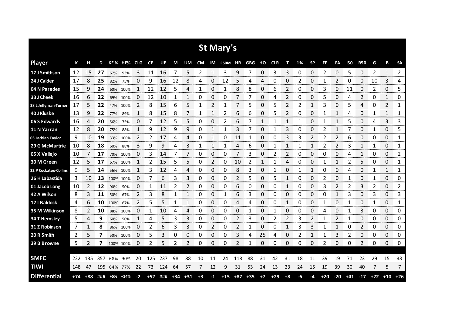|                       |       |       |     |           |             |      |       |     |       |       |      |              | St Mary's  |     |        |      |            |      |    |              |       |                |            |            |       |              |           |
|-----------------------|-------|-------|-----|-----------|-------------|------|-------|-----|-------|-------|------|--------------|------------|-----|--------|------|------------|------|----|--------------|-------|----------------|------------|------------|-------|--------------|-----------|
| <b>Player</b>         | К     | н     | D   |           | KE% HE% CLG |      | CP    | UP  | М     | UM    | CM   |              | IM F50M HR |     | GBG HO |      | <b>CLR</b> | т    | 1% | <b>SP</b>    | FF.   | FA             | <b>I50</b> | <b>R50</b> | G     | В            | <b>SA</b> |
| 17 J Smithson         | 12    | 15    | 27  | 67%       | 93%         | 3    | 11    | 16  | 7     | 5     | 2    | 1            | 3          | 9   | 7      | 0    | 3          | 3    | 0  | 0            | 2     | 0              | 5          | 0          | 2     | $\mathbf{1}$ | 2         |
| 24 J Calder           | 17    | 8     | 25  | 82%       | 75%         | O    | 9     | 16  | 12    | 8     | 4    | 0            | 12         | 5   |        | 4    | Ω          | 0    |    | 0            |       | 2              | C          | 0          | 10    | 3            | 4         |
| 04 N Paredes          | 15    | 9     | 24  | 60%       | 100%        | 1    | 12    | 12  | 5     | 4     | 1    | 0            | 1          | 8   | 8      | 0    | 6          | 2    | 0  | 0            | 3     | 0              | 11         | 0          | 2     | 0            | 5         |
| 33 J Cheek            | 16    | 6     | 22  | 69%       | 100%        | 0    | 12    | 10  | 1     | 1     | 0    | 0            | 0          |     |        | 0    | 4          | 2    | 0  | 0            | 5     | 0              | 4          | 2          | 0     | 1            | 0         |
| 38 L Jellyman-Turner  | 17    | 5     | 22  | 47%       | 100%        | 2    | 8     | 15  | 6     | 5     | 1    | 2            |            | 7   | 5      | 0    | 5          | 2    | 2  | 1            | 3     | 0              | 5          | 4          | 0     | 2            | 1         |
| 40 J Kluske           | 13    | 9     | 22  | 77%       | 89%         | 1    | 8     | 15  | 8     | 7     |      |              | 2          | 6   | 6      | 0    | 5          | 2    | Ω  | 0            |       | 1              | 4          | 0          | 1     | 1            | 1         |
| 06 S Edwards          | 16    | 4     | 20  | 56%       | 75%         | 0    | 7     | 12  | 5     | 5     | 0    | 0            | 2          | 6   |        | 1    |            | 1    | 1  | 0            |       | 1              | 5          | 0          | 4     | 3            | 3         |
| 11 N Yarran           | 12    | 8     | 20  | 75%       | 88%         | 1    | 9     | 12  | 9     | 9     | 0    | $\mathbf{1}$ |            | 3   |        | 0    |            | 3    | 0  | 0            | 2     | 1              |            | 0          | 1     | 0            | 5         |
| 03 Lachlan Taylor     | 9     | 10    | 19  | 33%       | 100%        | 2    | 2     | 17  | 4     | 4     | 0    | 1            | 0          | 11  | 1      | 0    | 0          | 3    | 3  | 2            | 2     | $\overline{2}$ | 6          | 0          | 0     | 0            | 1         |
| 29 G McMurtrie        | 10    | 8     | 18  | 60%       | 88%         | 3    | 9     | 9   | 4     | 3     |      | 1            |            | 4   | 6      | 0    |            | 1    |    | 1            | 2     | 2              | 3          | 1          | 1     | 0            | 1         |
| 05 X Vallejo          | 10    |       | 17  | 70%       | 100%        | 0    | 3     | 14  | 7     | 7     | 0    | 0            | 0          | 7   | 3      | 0    | 2          | 2    | 0  | 0            | 0     | 0              | 4          | 1          | 0     | 0            | 2         |
| 30 M Green            | 12    | 5     | 17  | 67%       | 100%        | 1    | 2     | 15  | 5     | 5     | 0    | 2            | 0          | 10  |        | 1    |            | 4    | ი  | 0            |       | 1              |            | 5          | 0     | 0            | 1         |
| 22 P Cockatoo-Collins | 9     | 5     | 14  |           | 56% 100%    | 1    | 3     | 12  | 4     | 4     | 0    | 0            | 0          | 8   | 3      | 0    | 1          | 0    | 1  | 1            | 0     | $\Omega$       | 4          | 0          | 1     | $\mathbf{1}$ | 1         |
| 26 H Labastida        | 3     | 10    | 13  | 100% 100% |             | 0    | 7     | 6   | 3     | 3     | 0    | 0            | 0          | 2   | 5      | 0    |            | 1    | 0  | 0            | 2     | 0              | 1          | 0          | 1     | 0            | 0         |
| 01 Jacob Long         | 10    | 2     | 12  | 90%       | 50%         | 0    | 1     | 11  | 2     | 2     | 0    | 0            | 0          | 6   | 0      | 0    | 0          | 1    | 0  | 0            | 3     | 2              | 2          | 3          | 2     | 0            | 2         |
| 42 A Wilson           | 8     | 3     | 11  | 50%       | 67%         | 2    | 3     | 8   | 1     | 1     | 0    | 0            | 1          | 6   | 3      | 0    | 0          | 0    | 0  | 0            | 0     | 1              | 3          | 0          | 3     | 0            | 3         |
| 12 I Baldock          | 4     | 6     | 10  | 100%      | 67%         | 2    | 5     | 5   | 1     | 1     | 0    | 0            | 0          | 4   | 4      | 0    | 0          | 1    | 0  | 0            | 1     | 0              | 1          | 0          | 1     | 0            | 1         |
| 35 M Wilkinson        | 8     | 2     | 10  | 88%       | 100%        | 0    | 1     | 10  | 4     | 4     | 0    | 0            | 0          | 0   | 1      | 0    |            | 0    | 0  | 0            | Δ     | 0              | 1          | 3          | 0     | 0            | 0         |
| 34 T Hemsley          | 5     | 4     | 9   | 60%       | 50%         | 1    | 4     | 5   | 3     | 3     | 0    | 0            | 0          | 2   | 3      | 0    | 2          | 2    | 3  | 2            | 1     | $\overline{2}$ | 1          | 0          | 0     | 0            | 0         |
| 31 Z Robinson         | 7     | 1     | 8   |           | 86% 100%    | 0    | 2     | 6   | 3     | 3     | 0    | 2            | 0          | 2   |        | 0    | 0          | 1    | 3  | 3            |       | 1              | 0          | 2          | 0     | 0            | 0         |
| 20 R Smith            | 2     | 5     | 7   | 50%       | 100%        | 0    | 5     | 3   | 0     | 0     | 0    | 0            | 0          | 3   | 4      | 25   | 4          | 0    | 2  | $\mathbf{1}$ | 1     | 3              | 2          | 0          | 0     | 0            | 0         |
| 39 B Browne           | 5     | 2     | 7   |           | 100% 100%   | 0    | 2     | 5   | 2     | 2     | 0    | 0            | 0          | 2   | 1      | 0    | 0          | 0    | 0  | 0            | 2     | 0              | 0          | 2          | 0     | 0            | 0         |
|                       |       |       |     |           |             |      |       |     |       |       |      |              |            |     |        |      |            |      |    |              |       |                |            |            |       |              |           |
| <b>SMFC</b>           | 222   | 135   | 357 | 68%       | 90%         | 20   | 125   | 237 | 98    | 88    | 10   | 11           | 24         | 118 | 88     | 31   | 42         | 31   | 18 | 11           | 39    | 19             | 71         | 23         | 29    | 15           | 33        |
| <b>TIWI</b>           | 148   | 47    | 195 |           | 64% 77%     | 22   | 73    | 124 | 64    | 57    | 7    | 12           | 9          | 31  | 53     | 24   | 13         | 23   | 24 | 15           | 19    | 39             | 30         | 40         | 7     | 5            | 7         |
| <b>Differential</b>   | $+74$ | $+88$ | ### | +5%       | $+14%$      | $-2$ | $+52$ | ### | $+34$ | $+31$ | $+3$ | $-1$         | $+15$      | +87 | $+35$  | $+7$ | $+29$      | $+8$ | -6 | -4           | $+20$ | $-20$          | $+41$      | $-17$      | $+22$ | $+10$        | $+26$     |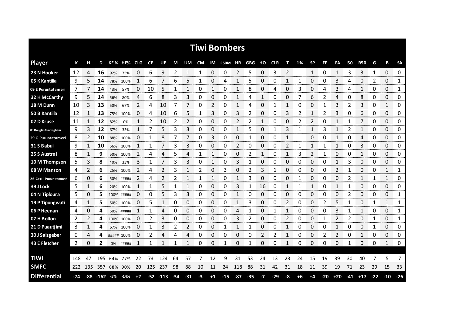|                        |     |             |                  |     |             |                |           |              |       |                  |              |                | <b>Tiwi Bombers</b> |              |       |      |            |    |      |           |              |                |            |                |       |                     |                             |
|------------------------|-----|-------------|------------------|-----|-------------|----------------|-----------|--------------|-------|------------------|--------------|----------------|---------------------|--------------|-------|------|------------|----|------|-----------|--------------|----------------|------------|----------------|-------|---------------------|-----------------------------|
| <b>Player</b>          | К   | н           | D                |     | KE% HE% CLG |                | <b>CP</b> | UP           | M     | UM               | CM           |                | IM F50M HR GBG      |              |       | но   | <b>CLR</b> | т  | 1%   | <b>SP</b> | FF           | FA             | <b>150</b> | <b>R50</b>     | G     | В                   | <b>SA</b>                   |
| 23 N Hooker            | 12  | 4           | 16               | 92% | 75%         | 0              | 6         | 9            | 2     | 1                | $\mathbf{1}$ | 0              | 0                   | 2            | 5     | 0    | 3          | 2  | 1    | 1         | 0            | 1              | 3          | 3              | 1     | $\Omega$            | 0                           |
| 05 K Kantilla          | 9   | 5           | 14               | 78% | 100%        | 1              | 6         | 7            | 6     | 5                | 1            | 0              | 4                   | 1            | 5     | 0    | 0          | 1  | 1    | 0         | 0            | 3              | 4          | 0              | 2     | 0                   | 1                           |
| 09 E Puruntatameri     | 7   |             | 14               | 43% | 57%         | 0              | 10        | 5            | 1     | 1                | 0            | 1              | 0                   | 1            | 8     | 0    | 4          | 0  | 3    | 0         | 4            | 3              | 4          | 1              | 0     | 0                   | 1                           |
| 32 H McCarthy          | 9   | 5.          | 14               | 56% | 80%         | 4              | 6         | 8            | 3     | 3                | 0            | 0              | 0                   | 1            | 4     | 1    | 0          | 0  |      | 6         | 2            | 4              | 0          | 8              | 0     | 0                   | 0                           |
| 18 M Dunn              | 10  | 3           | 13               | 50% | 67%         | 2              | 4         | 10           | 7     | 7                | 0            | $\overline{2}$ | 0                   | $\mathbf{1}$ | 4     | 0    | 1          | 1  | 0    | 0         | $\mathbf{1}$ | 3              | 2          | 3              | 0     | $\mathbf{1}$        | 0                           |
| 50 B Kantilla          | 12  | 1           | 13               | 75% | 100%        | 0              | 4         | 10           | 6     | 5                | 1            | 3              | 0                   | 3            | 2     | 0    | 0          | 3  | 2    | 1         | 2            | 3              | 0          | 6              | 0     | 0                   | 0                           |
| 02 D Kruse             | 11  |             | 12               | 82% | 0%          |                | 2         | 10           | 2     | 2                | 0            | 0              | 0                   | 2            | 2     |      | 0          | 0  |      | 2         | 0            | $\mathbf{1}$   |            | 7              | 0     | 0                   | 0                           |
| 03 Douglas Cunningham  | 9   | 3           | 12               | 67% | 33%         |                | 7         | 5            | 3     | 3                | 0            | 0              | 0                   | 1            | 5     | 0    | 1          | 3  |      | 1         | 3            | 1              | 2          | 1              | 0     | 0                   | 0                           |
| 29 G Puruntatameri     | 8   | 2           | 10               | 88% | 100%        | 0              | 1         | 8            | 7     | 7                | 0            | 3              | 0                   | 0            |       | 0    | 0          | 1  |      | 0         | 0            | $\mathbf{1}$   | 0          | 4              | 0     | 0                   | 0                           |
| 31 S Babui             | 9   | 1           | 10               | 56% | 100%        |                | 1         |              | 3     | 3                | 0            | 0              | 0                   | 2            | 0     | 0    | 0          | 2  |      | 1         |              | 1              | 0          | 3              | 0     | 0                   | 0                           |
| 25 S Austral           | 8   |             | 9                | 50% | 100%        | 2              | 4         | 4            | 5     | 4                | 1            | 1              | 0                   | 0            | 2     |      | 0          | 1  | 3    | 2         |              | 0              | 0          | 1              | 0     | 0                   | 0                           |
| 10 M Thompson          | 5   | 3           | 8                | 40% | 33%         | 3              | 1         |              | 3     | 3                | 0            | 1              | 0                   | 3            |       | 0    | 0          | 0  | 0    | 0         | 0            | 1              | 3          | 0              | 0     | 0                   | 0                           |
| 08 W Manson            | 4   | 2           | 6                | 25% | 100%        | $\overline{2}$ | 4         | 2            | 3     |                  | 2            | 0              | 3                   | 0            | 2     | 3    | 1          | 0  | 0    | 0         | 0            | $\overline{2}$ |            | 0              | 0     | 1                   | 1                           |
| 26 Cecil Puruntatameri | 6   | 0           | 6                | 50% | #####       | 2              | 4         |              | 2     |                  | 1            | 1              | 0                   | 1            | 3     | 0    | 0          | 0  |      | 0         | 0            | 0              | 2          | 1              | 1     | 1                   | 0                           |
| 39 J Lock              | 5   |             | 6                | 20% | 100%        | 1              | 1         | 5            |       |                  | 0            | 0              | 0                   | 3            |       | 16   | 0          |    |      |           | 0            | 1              |            | 0              | 0     | 0<br><b>Service</b> | 0<br><b>Service Company</b> |
| 04 N Tiploura          | 5   | 0           | 5                |     | 100% #####  | 0              | 0         | 5            | 3     | 3                | 0            | 0              | 0                   |              | 0     | 0    | O          | 0  | Ω    | 0         | 0            | 0              |            | 0              | 0     | 0<br>mmmm           | 1<br><b>CONTRACTOR</b>      |
| 19 P Tipungwuti        | 4   | 1           | 5                | 50% | 100%        | 0              | 5         | 1            | 0     | 0<br>ana amin'ny | 0            | 0              | 0                   |              | 3     | 0    | 0          |    | 0    | 0         | 2            | 5              |            | 0<br>ananana a | 1     | 1                   | 1                           |
| 06 P Heenan            | 4   | 0           | 4                | 50% | #####       |                | 1         |              | 0     | 0                | 0            | 0              | O                   | 4            |       | O    |            |    | 0    | 0         |              | 3              |            |                | 0     | 0                   | 1                           |
| 07 H Bolton            | 2   | 2           | 4                |     | 100% 100%   | 0              | 2         | 3            | 0     | 0                | 0            | 0              | 0                   | 3            | 2     | 0    | 0          | 2  | 0    | 0         |              | 2              | 2          | 0              | 1     | 0                   | 1                           |
| 21 D Puautjimi         | 3   | $\mathbf 1$ | 4                | 67% | 100%        | 0              | 1         | 3            | 2     | 2                | 0            | 0              | 1                   | 1            | 1     | 0    | 0          | 1  | 0    | 0         | 0            | 1              | 0          | 0              | 1     | 0                   | 0<br>mono.                  |
| 30 J Salzgeber         | 0   | 4           | 4                |     | ##### 100%  | 0              | 2         | 4            | 4     | 4                | 0            | 0              | 0                   | 0            | 0     | 2    | 2          | 1  | 0    | 0         | 2            | 2              | 0          | 1              | 0     | 0                   | 0                           |
| 43 E Fletcher          | 2   | 0           | 2                | 0%  | #####       | 1              | 1         | 1            | 1     | 1                | 0            | 0              | 1                   | 0            | 1     | 0    | 0          | 1  | 0    | 0         | 0            | 0              | 1          | 0              | 0     | 1                   | 0                           |
|                        |     |             |                  |     |             |                |           |              |       |                  |              |                |                     |              |       |      |            |    |      |           |              |                |            |                |       |                     |                             |
| <b>TIWI</b>            | 148 | 47          | 195              | 64% | 77%         | 22             | 73        | 124          | 64    | 57               |              | 12             | 9                   | 31           | 53    | 24   | 13         | 23 | 24   | 15        | 19           | 39             | 30         | 40             |       | 5                   | 7                           |
| <b>SMFC</b>            | 222 | 135         | 357              |     | 68% 90%     | 20             | 125       | 237          | 98    | 88               | 10           | 11             | 24                  | 118          | 88    | 31   | 42         | 31 | 18   | 11        | 39           | 19             | 71         | 23             | 29    | 15                  | 33                          |
| <b>Differential</b>    | -74 |             | $-88 - 162 - 5%$ |     | $-14%$      | $+2$           |           | $-52$ $-113$ | $-34$ | $-31$            | $-3$         | $+1$           | $-15$               | $-87$        | $-35$ | $-7$ | $-29$      | -8 | $+6$ | $+4$      | $-20$        | $+20$          | $-41$      | $+17$          | $-22$ | $-10$               | $-26$                       |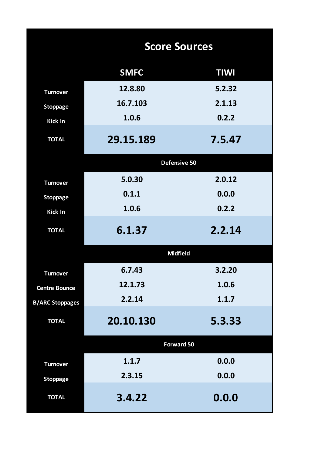|                        | <b>Score Sources</b> |             |
|------------------------|----------------------|-------------|
|                        | <b>SMFC</b>          | <b>TIWI</b> |
| <b>Turnover</b>        | 12.8.80              | 5.2.32      |
| <b>Stoppage</b>        | 16.7.103             | 2.1.13      |
| <b>Kick In</b>         | 1.0.6                | 0.2.2       |
| <b>TOTAL</b>           | 29.15.189            | 7.5.47      |
|                        | Defensive 50         |             |
| <b>Turnover</b>        | 5.0.30               | 2.0.12      |
| <b>Stoppage</b>        | 0.1.1                | 0.0.0       |
| <b>Kick In</b>         | 1.0.6                | 0.2.2       |
| <b>TOTAL</b>           | 6.1.37               | 2.2.14      |
|                        | <b>Midfield</b>      |             |
| <b>Turnover</b>        | 6.7.43               | 3.2.20      |
| <b>Centre Bounce</b>   | 12.1.73              | 1.0.6       |
| <b>B/ARC Stoppages</b> | 2.2.14               | 1.1.7       |
| <b>TOTAL</b>           | 20.10.130            | 5.3.33      |
|                        | <b>Forward 50</b>    |             |
| <b>Turnover</b>        | 1.1.7                | 0.0.0       |
| <b>Stoppage</b>        | 2.3.15               | 0.0.0       |
| <b>TOTAL</b>           | 3.4.22               | 0.0.0       |